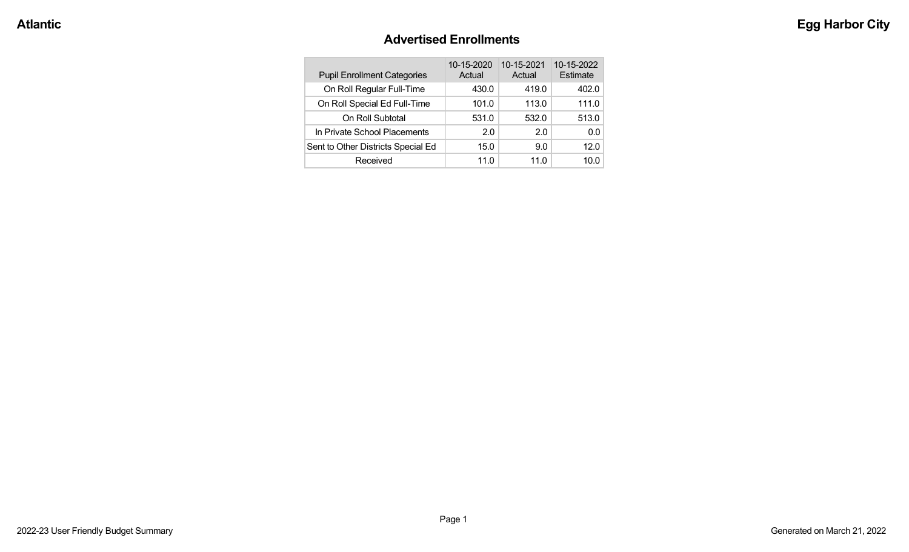#### **Advertised Enrollments**

| <b>Pupil Enrollment Categories</b> | 10-15-2020<br>Actual | 10-15-2021<br>Actual | 10-15-2022<br>Estimate |
|------------------------------------|----------------------|----------------------|------------------------|
| On Roll Regular Full-Time          | 430.0                | 419.0                | 402.0                  |
| On Roll Special Ed Full-Time       | 101.0                | 113.0                | 111.0                  |
| On Roll Subtotal                   | 531.0                | 532.0                | 513.0                  |
| In Private School Placements       | 2.0                  | 2.0                  | 0.0                    |
| Sent to Other Districts Special Ed | 15.0                 | 9.0                  | 12.0                   |
| Received                           | 11.0                 | 11.0                 | 10.0                   |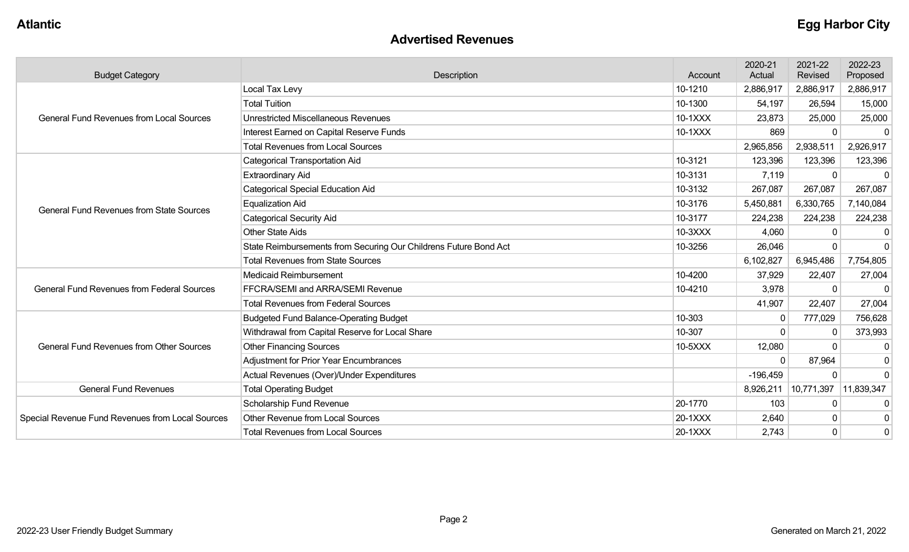#### **Advertised Revenues**

| <b>Budget Category</b>                            | Description                                                      | Account | 2020-21<br>Actual | 2021-22<br>Revised | 2022-23<br>Proposed |
|---------------------------------------------------|------------------------------------------------------------------|---------|-------------------|--------------------|---------------------|
|                                                   | Local Tax Levy                                                   | 10-1210 | 2,886,917         | 2,886,917          | 2,886,917           |
|                                                   | <b>Total Tuition</b>                                             | 10-1300 | 54,197            | 26,594             | 15,000              |
| <b>General Fund Revenues from Local Sources</b>   | <b>Unrestricted Miscellaneous Revenues</b>                       | 10-1XXX | 23,873            | 25,000             | 25,000              |
|                                                   | Interest Earned on Capital Reserve Funds                         | 10-1XXX | 869               | $\Omega$           | -C                  |
|                                                   | <b>Total Revenues from Local Sources</b>                         |         | 2,965,856         | 2,938,511          | 2,926,917           |
|                                                   | <b>Categorical Transportation Aid</b>                            | 10-3121 | 123,396           | 123,396            | 123,396             |
|                                                   | Extraordinary Aid                                                | 10-3131 | 7,119             | U                  |                     |
|                                                   | <b>Categorical Special Education Aid</b>                         | 10-3132 | 267,087           | 267,087            | 267,087             |
| <b>General Fund Revenues from State Sources</b>   | <b>Equalization Aid</b>                                          | 10-3176 | 5,450,881         | 6,330,765          | 7,140,084           |
|                                                   | <b>Categorical Security Aid</b>                                  | 10-3177 | 224,238           | 224,238            | 224,238             |
|                                                   | <b>Other State Aids</b>                                          | 10-3XXX | 4,060             | O                  | 0                   |
|                                                   | State Reimbursements from Securing Our Childrens Future Bond Act | 10-3256 | 26,046            |                    | $\Omega$            |
|                                                   | <b>Total Revenues from State Sources</b>                         |         | 6,102,827         | 6,945,486          | 7,754,805           |
|                                                   | Medicaid Reimbursement                                           | 10-4200 | 37,929            | 22,407             | 27,004              |
| <b>General Fund Revenues from Federal Sources</b> | FFCRA/SEMI and ARRA/SEMI Revenue                                 | 10-4210 | 3,978             | $\Omega$           | $\Omega$            |
|                                                   | <b>Total Revenues from Federal Sources</b>                       |         | 41,907            | 22,407             | 27,004              |
|                                                   | <b>Budgeted Fund Balance-Operating Budget</b>                    | 10-303  | 0                 | 777,029            | 756,628             |
|                                                   | Withdrawal from Capital Reserve for Local Share                  | 10-307  |                   | $\Omega$           | 373,993             |
| <b>General Fund Revenues from Other Sources</b>   | <b>Other Financing Sources</b>                                   | 10-5XXX | 12,080            |                    | $\Omega$            |
|                                                   | <b>Adjustment for Prior Year Encumbrances</b>                    |         | $\Omega$          | 87,964             | $\Omega$            |
|                                                   | Actual Revenues (Over)/Under Expenditures                        |         | $-196,459$        | $\Omega$           | $\Omega$            |
| <b>General Fund Revenues</b>                      | <b>Total Operating Budget</b>                                    |         | 8,926,211         | 10,771,397         | 11,839,347          |
|                                                   | Scholarship Fund Revenue                                         | 20-1770 | 103               | 0                  | -0                  |
| Special Revenue Fund Revenues from Local Sources  | <b>Other Revenue from Local Sources</b>                          | 20-1XXX | 2,640             | $\Omega$           | 0                   |
|                                                   | <b>Total Revenues from Local Sources</b>                         | 20-1XXX | 2,743             | $\Omega$           | $\Omega$            |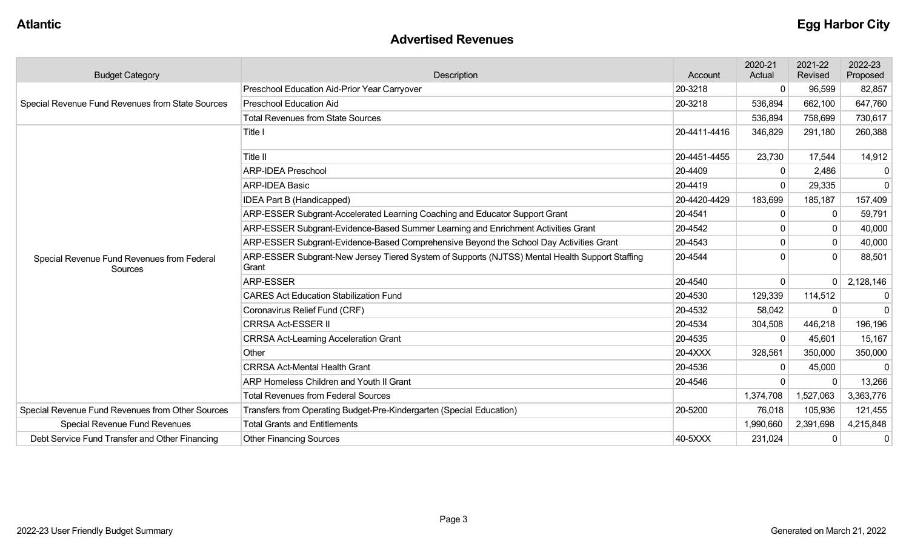#### **Advertised Revenues**

| <b>Budget Category</b>                                | Description                                                                                             | Account      | 2020-21<br>Actual | 2021-22<br>Revised | 2022-23<br>Proposed |
|-------------------------------------------------------|---------------------------------------------------------------------------------------------------------|--------------|-------------------|--------------------|---------------------|
|                                                       | Preschool Education Aid-Prior Year Carryover                                                            | 20-3218      | $\Omega$          | 96,599             | 82,857              |
| Special Revenue Fund Revenues from State Sources      | <b>Preschool Education Aid</b>                                                                          | 20-3218      | 536,894           | 662,100            | 647,760             |
|                                                       | <b>Total Revenues from State Sources</b>                                                                |              | 536,894           | 758,699            | 730,617             |
|                                                       | Title I                                                                                                 | 20-4411-4416 | 346,829           | 291,180            | 260,388             |
|                                                       | Title II                                                                                                | 20-4451-4455 | 23,730            | 17,544             | 14,912              |
|                                                       | <b>ARP-IDEA Preschool</b>                                                                               | 20-4409      | $\Omega$          | 2,486              | $\mathbf{0}$        |
|                                                       | <b>ARP-IDEA Basic</b>                                                                                   | 20-4419      | $\Omega$          | 29,335             | $\mathbf 0$         |
|                                                       | IDEA Part B (Handicapped)                                                                               | 20-4420-4429 | 183,699           | 185,187            | 157,409             |
|                                                       | ARP-ESSER Subgrant-Accelerated Learning Coaching and Educator Support Grant                             | 20-4541      | $\mathbf{0}$      |                    | 59,791              |
|                                                       | ARP-ESSER Subgrant-Evidence-Based Summer Learning and Enrichment Activities Grant                       | 20-4542      |                   |                    | 40,000              |
|                                                       | ARP-ESSER Subgrant-Evidence-Based Comprehensive Beyond the School Day Activities Grant                  | 20-4543      | $\Omega$          | $\mathbf{0}$       | 40,000              |
| Special Revenue Fund Revenues from Federal<br>Sources | ARP-ESSER Subgrant-New Jersey Tiered System of Supports (NJTSS) Mental Health Support Staffing<br>Grant | 20-4544      | ŋ                 | $\Omega$           | 88,501              |
|                                                       | ARP-ESSER                                                                                               | 20-4540      | $\Omega$          |                    | 2,128,146           |
|                                                       | <b>CARES Act Education Stabilization Fund</b>                                                           | 20-4530      | 129,339           | 114,512            | $\mathbf{0}$        |
|                                                       | Coronavirus Relief Fund (CRF)                                                                           | 20-4532      | 58,042            |                    | $\mathbf 0$         |
|                                                       | <b>CRRSA Act-ESSER II</b>                                                                               | 20-4534      | 304,508           | 446,218            | 196,196             |
|                                                       | <b>CRRSA Act-Learning Acceleration Grant</b>                                                            | 20-4535      | $\Omega$          | 45,601             | 15,167              |
|                                                       | Other                                                                                                   | 20-4XXX      | 328,561           | 350,000            | 350,000             |
|                                                       | <b>CRRSA Act-Mental Health Grant</b>                                                                    | 20-4536      | $\mathbf{0}$      | 45,000             | $\Omega$            |
|                                                       | ARP Homeless Children and Youth II Grant                                                                | 20-4546      | $\Omega$          |                    | 13,266              |
|                                                       | <b>Total Revenues from Federal Sources</b>                                                              |              | 1,374,708         | 1,527,063          | 3,363,776           |
| Special Revenue Fund Revenues from Other Sources      | Transfers from Operating Budget-Pre-Kindergarten (Special Education)                                    | 20-5200      | 76,018            | 105,936            | 121,455             |
| <b>Special Revenue Fund Revenues</b>                  | <b>Total Grants and Entitlements</b>                                                                    |              | 1,990,660         | 2,391,698          | 4,215,848           |
| Debt Service Fund Transfer and Other Financing        | <b>Other Financing Sources</b>                                                                          | 40-5XXX      | 231,024           |                    | $\mathbf 0$         |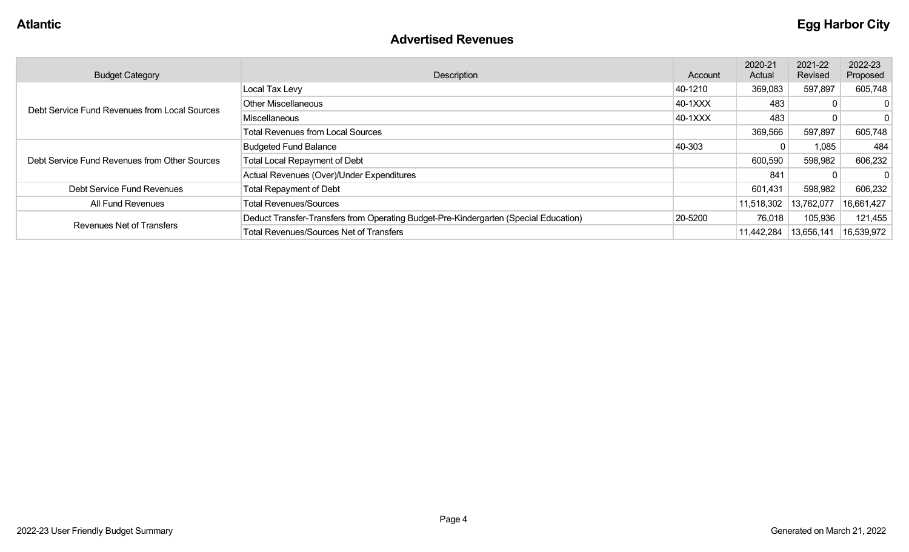#### **Advertised Revenues**

| <b>Budget Category</b>                        | Description                                                                          | Account | 2020-21<br>Actual | 2021-22<br>Revised | 2022-23<br>Proposed |
|-----------------------------------------------|--------------------------------------------------------------------------------------|---------|-------------------|--------------------|---------------------|
|                                               | Local Tax Levy                                                                       | 40-1210 | 369,083           | 597,897            | 605,748             |
| Debt Service Fund Revenues from Local Sources | <b>Other Miscellaneous</b>                                                           | 40-1XXX | 483               |                    |                     |
|                                               | Miscellaneous                                                                        | 40-1XXX | 483               |                    |                     |
|                                               | <b>Total Revenues from Local Sources</b>                                             |         | 369,566           | 597,897            | 605,748             |
|                                               | <b>Budgeted Fund Balance</b>                                                         | 40-303  |                   | 1,085              | 484                 |
| Debt Service Fund Revenues from Other Sources | <b>Total Local Repayment of Debt</b>                                                 |         | 600,590           | 598,982            | 606,232             |
|                                               | Actual Revenues (Over)/Under Expenditures                                            |         | 841               |                    |                     |
| Debt Service Fund Revenues                    | <b>Total Repayment of Debt</b>                                                       |         | 601,431           | 598,982            | 606,232             |
| All Fund Revenues                             | <b>Total Revenues/Sources</b>                                                        |         | 11,518,302        | 13,762,077         | 16,661,427          |
|                                               | Deduct Transfer-Transfers from Operating Budget-Pre-Kindergarten (Special Education) | 20-5200 | 76,018            | 105,936            | 121,455             |
| <b>Revenues Net of Transfers</b>              | <b>Total Revenues/Sources Net of Transfers</b>                                       |         | 11,442,284        | 13,656,141         | 16,539,972          |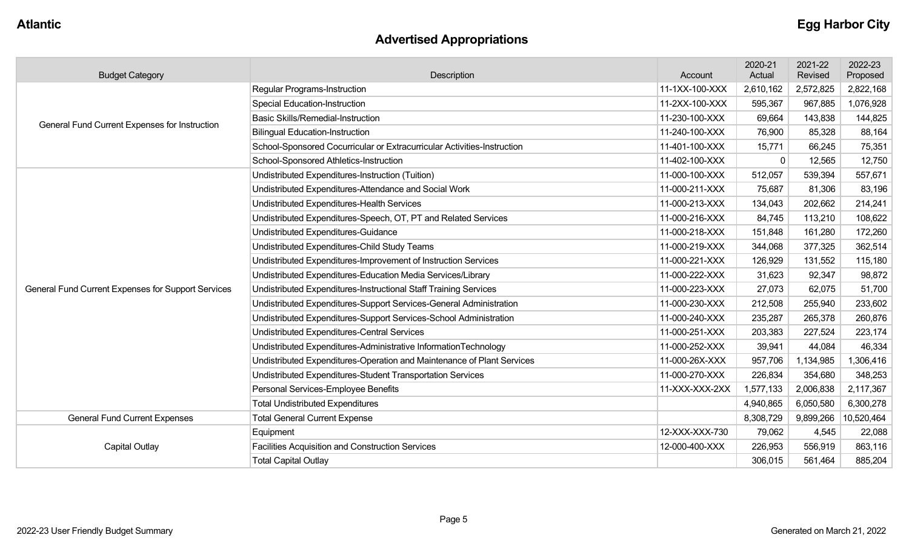# **Advertised Appropriations**

| <b>Budget Category</b>                             | Description                                                             | Account        | 2020-21<br>Actual | 2021-22<br>Revised | 2022-23<br>Proposed |
|----------------------------------------------------|-------------------------------------------------------------------------|----------------|-------------------|--------------------|---------------------|
|                                                    | Regular Programs-Instruction                                            | 11-1XX-100-XXX | 2,610,162         | 2,572,825          | 2,822,168           |
|                                                    | <b>Special Education-Instruction</b>                                    | 11-2XX-100-XXX | 595,367           | 967,885            | 1,076,928           |
| General Fund Current Expenses for Instruction      | <b>Basic Skills/Remedial-Instruction</b>                                | 11-230-100-XXX | 69,664            | 143,838            | 144,825             |
|                                                    | <b>Bilingual Education-Instruction</b>                                  | 11-240-100-XXX | 76,900            | 85,328             | 88,164              |
|                                                    | School-Sponsored Cocurricular or Extracurricular Activities-Instruction | 11-401-100-XXX | 15,771            | 66,245             | 75,351              |
|                                                    | School-Sponsored Athletics-Instruction                                  | 11-402-100-XXX | $\Omega$          | 12,565             | 12,750              |
|                                                    | Undistributed Expenditures-Instruction (Tuition)                        | 11-000-100-XXX | 512,057           | 539,394            | 557,671             |
|                                                    | Undistributed Expenditures-Attendance and Social Work                   | 11-000-211-XXX | 75,687            | 81,306             | 83,196              |
|                                                    | Undistributed Expenditures-Health Services                              | 11-000-213-XXX | 134,043           | 202,662            | 214,241             |
|                                                    | Undistributed Expenditures-Speech, OT, PT and Related Services          | 11-000-216-XXX | 84,745            | 113,210            | 108,622             |
|                                                    | Undistributed Expenditures-Guidance                                     | 11-000-218-XXX | 151,848           | 161,280            | 172,260             |
|                                                    | Undistributed Expenditures-Child Study Teams                            | 11-000-219-XXX | 344,068           | 377,325            | 362,514             |
|                                                    | Undistributed Expenditures-Improvement of Instruction Services          | 11-000-221-XXX | 126,929           | 131,552            | 115,180             |
|                                                    | Undistributed Expenditures-Education Media Services/Library             | 11-000-222-XXX | 31,623            | 92,347             | 98,872              |
| General Fund Current Expenses for Support Services | Undistributed Expenditures-Instructional Staff Training Services        | 11-000-223-XXX | 27,073            | 62,075             | 51,700              |
|                                                    | Undistributed Expenditures-Support Services-General Administration      | 11-000-230-XXX | 212,508           | 255,940            | 233,602             |
|                                                    | Undistributed Expenditures-Support Services-School Administration       | 11-000-240-XXX | 235,287           | 265,378            | 260,876             |
|                                                    | Undistributed Expenditures-Central Services                             | 11-000-251-XXX | 203,383           | 227,524            | 223,174             |
|                                                    | Undistributed Expenditures-Administrative InformationTechnology         | 11-000-252-XXX | 39,941            | 44,084             | 46,334              |
|                                                    | Undistributed Expenditures-Operation and Maintenance of Plant Services  | 11-000-26X-XXX | 957,706           | 1,134,985          | 1,306,416           |
|                                                    | Undistributed Expenditures-Student Transportation Services              | 11-000-270-XXX | 226,834           | 354,680            | 348,253             |
|                                                    | Personal Services-Employee Benefits                                     | 11-XXX-XXX-2XX | 1,577,133         | 2,006,838          | 2,117,367           |
|                                                    | <b>Total Undistributed Expenditures</b>                                 |                | 4,940,865         | 6,050,580          | 6,300,278           |
| <b>General Fund Current Expenses</b>               | <b>Total General Current Expense</b>                                    |                | 8,308,729         | 9,899,266          | 10,520,464          |
|                                                    | Equipment                                                               | 12-XXX-XXX-730 | 79,062            | 4,545              | 22,088              |
| <b>Capital Outlay</b>                              | <b>Facilities Acquisition and Construction Services</b>                 | 12-000-400-XXX | 226,953           | 556,919            | 863,116             |
|                                                    | <b>Total Capital Outlay</b>                                             |                | 306,015           | 561,464            | 885,204             |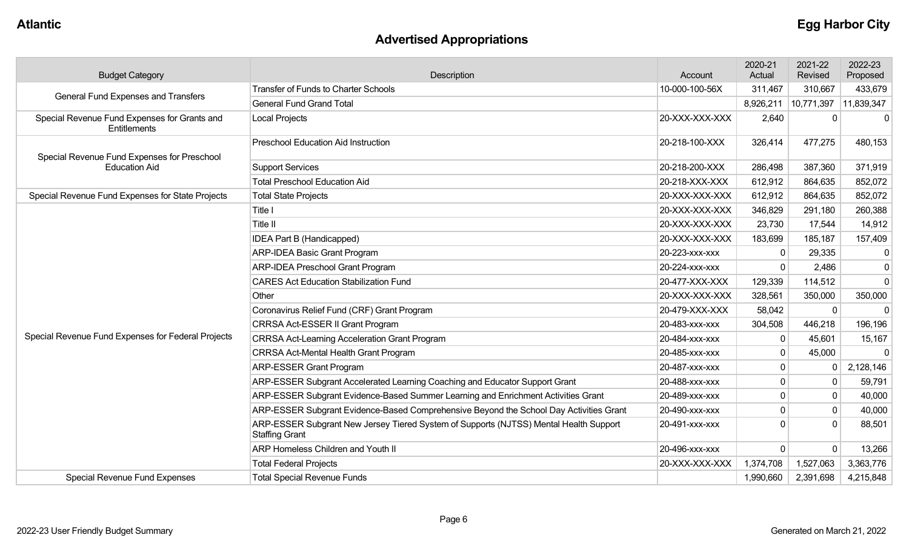# **Advertised Appropriations**

| <b>Budget Category</b>                                       | Description<br>Account                                                                                         |                | 2020-21<br>Actual | 2021-22<br>Revised | 2022-23<br>Proposed |
|--------------------------------------------------------------|----------------------------------------------------------------------------------------------------------------|----------------|-------------------|--------------------|---------------------|
| General Fund Expenses and Transfers                          | <b>Transfer of Funds to Charter Schools</b>                                                                    | 10-000-100-56X | 311,467           | 310,667            | 433,679             |
|                                                              | <b>General Fund Grand Total</b>                                                                                |                | 8,926,211         | 10,771,397         | 11,839,347          |
| Special Revenue Fund Expenses for Grants and<br>Entitlements | <b>Local Projects</b><br>20-XXX-XXX-XXX                                                                        |                | 2,640             |                    | $\Omega$            |
| Special Revenue Fund Expenses for Preschool                  | Preschool Education Aid Instruction                                                                            | 20-218-100-XXX | 326,414           | 477,275            | 480,153             |
| <b>Education Aid</b>                                         | <b>Support Services</b>                                                                                        | 20-218-200-XXX | 286,498           | 387,360            | 371,919             |
|                                                              | <b>Total Preschool Education Aid</b>                                                                           | 20-218-XXX-XXX | 612,912           | 864,635            | 852,072             |
| Special Revenue Fund Expenses for State Projects             | <b>Total State Projects</b>                                                                                    | 20-XXX-XXX-XXX | 612,912           | 864,635            | 852,072             |
|                                                              | Title I                                                                                                        | 20-XXX-XXX-XXX | 346,829           | 291,180            | 260,388             |
|                                                              | Title II                                                                                                       | 20-XXX-XXX-XXX | 23,730            | 17,544             | 14,912              |
|                                                              | <b>IDEA Part B (Handicapped)</b>                                                                               | 20-XXX-XXX-XXX | 183,699           | 185,187            | 157,409             |
|                                                              | <b>ARP-IDEA Basic Grant Program</b>                                                                            | 20-223-XXX-XXX | $\Omega$          | 29,335             | 0                   |
|                                                              | <b>ARP-IDEA Preschool Grant Program</b>                                                                        | 20-224-xxx-xxx | $\Omega$          | 2,486              | $\mathbf 0$         |
|                                                              | <b>CARES Act Education Stabilization Fund</b>                                                                  | 20-477-XXX-XXX | 129,339           | 114,512            | $\mathbf{0}$        |
|                                                              | Other                                                                                                          | 20-XXX-XXX-XXX | 328,561           | 350,000            | 350,000             |
|                                                              | Coronavirus Relief Fund (CRF) Grant Program                                                                    | 20-479-XXX-XXX | 58,042            | 0                  | $\mathbf 0$         |
|                                                              | CRRSA Act-ESSER II Grant Program                                                                               | 20-483-xxx-xxx | 304,508           | 446,218            | 196,196             |
| Special Revenue Fund Expenses for Federal Projects           | <b>CRRSA Act-Learning Acceleration Grant Program</b>                                                           | 20-484-XXX-XXX | $\mathbf{0}$      | 45,601             | 15,167              |
|                                                              | CRRSA Act-Mental Health Grant Program                                                                          | 20-485-xxx-xxx | $\mathbf 0$       | 45,000             | $\mathbf 0$         |
|                                                              | <b>ARP-ESSER Grant Program</b>                                                                                 | 20-487-XXX-XXX | $\mathbf 0$       |                    | 2,128,146           |
|                                                              | ARP-ESSER Subgrant Accelerated Learning Coaching and Educator Support Grant                                    | 20-488-xxx-xxx | 0                 |                    | 59,791              |
|                                                              | ARP-ESSER Subgrant Evidence-Based Summer Learning and Enrichment Activities Grant                              | 20-489-xxx-xxx | 0                 | $\mathbf 0$        | 40,000              |
|                                                              | ARP-ESSER Subgrant Evidence-Based Comprehensive Beyond the School Day Activities Grant                         | 20-490-xxx-xxx | $\mathbf 0$       | $\mathbf 0$        | 40,000              |
|                                                              | ARP-ESSER Subgrant New Jersey Tiered System of Supports (NJTSS) Mental Health Support<br><b>Staffing Grant</b> | 20-491-xxx-xxx | 0                 |                    | 88,501              |
|                                                              | <b>ARP Homeless Children and Youth II</b>                                                                      | 20-496-XXX-XXX | $\mathbf 0$       | $\Omega$           | 13,266              |
|                                                              | <b>Total Federal Projects</b>                                                                                  | 20-XXX-XXX-XXX | 1,374,708         | 1,527,063          | 3,363,776           |
| <b>Special Revenue Fund Expenses</b>                         | <b>Total Special Revenue Funds</b>                                                                             |                | 1,990,660         | 2,391,698          | 4,215,848           |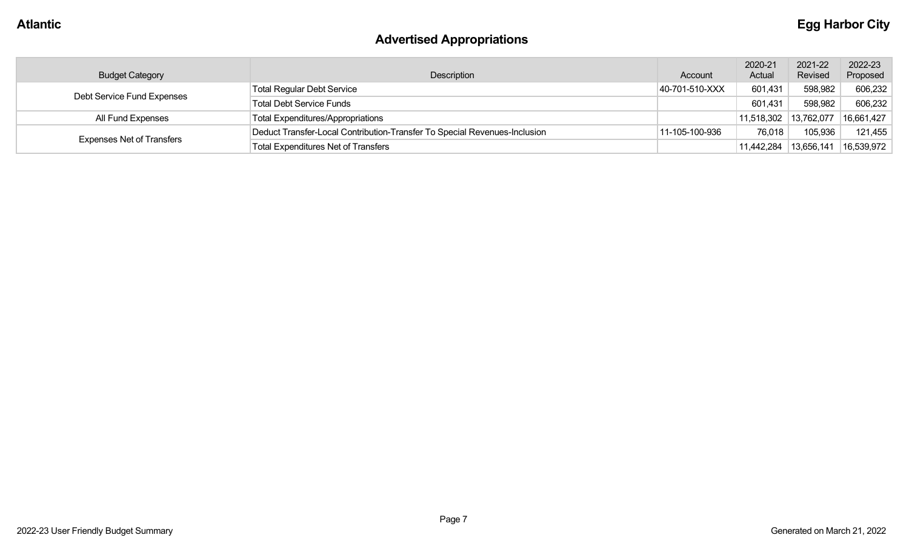# **Advertised Appropriations**

| <b>Budget Category</b>           | Description                                                               | Account        | 2020-21<br>Actual     | 2021-22<br>Revised | 2022-23<br>Proposed |
|----------------------------------|---------------------------------------------------------------------------|----------------|-----------------------|--------------------|---------------------|
| Debt Service Fund Expenses       | <b>Total Regular Debt Service</b>                                         | 40-701-510-XXX | 601,431               | 598,982            | 606,232             |
|                                  | Total Debt Service Funds                                                  |                | 601,431               | 598,982            | 606,232             |
| All Fund Expenses                | <b>Total Expenditures/Appropriations</b>                                  |                | 11,518,302 13,762,077 |                    | 16,661,427          |
|                                  | Deduct Transfer-Local Contribution-Transfer To Special Revenues-Inclusion | 11-105-100-936 | 76,018                | 105,936            | 121,455             |
| <b>Expenses Net of Transfers</b> | <b>Total Expenditures Net of Transfers</b>                                |                | 11,442,284            | 13,656,141         | 16,539,972          |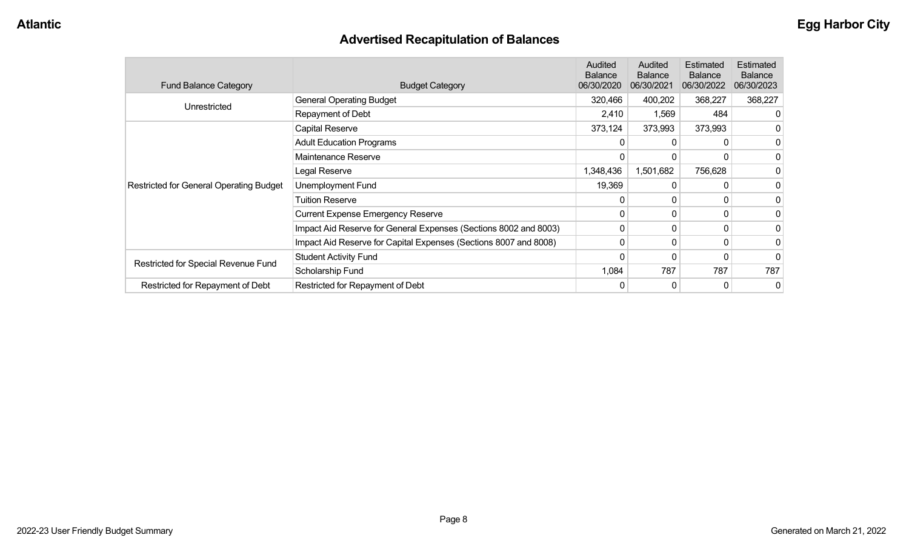# **Advertised Recapitulation of Balances**

| <b>Fund Balance Category</b>                   | <b>Budget Category</b>                                           | <b>Audited</b><br><b>Balance</b><br>06/30/2020 | Audited<br><b>Balance</b><br>06/30/2021 | Estimated<br><b>Balance</b><br>06/30/2022 | Estimated<br><b>Balance</b><br>06/30/2023 |
|------------------------------------------------|------------------------------------------------------------------|------------------------------------------------|-----------------------------------------|-------------------------------------------|-------------------------------------------|
| Unrestricted                                   | <b>General Operating Budget</b>                                  | 320,466                                        | 400,202                                 | 368,227                                   | 368,227                                   |
|                                                | Repayment of Debt                                                | 2,410                                          | 1,569                                   | 484                                       |                                           |
|                                                | Capital Reserve                                                  | 373,124                                        | 373,993                                 | 373,993                                   |                                           |
|                                                | <b>Adult Education Programs</b>                                  |                                                | 0                                       | 0                                         | 0                                         |
|                                                | Maintenance Reserve                                              | 0                                              | $\mathbf{0}$                            | 0                                         | 0                                         |
|                                                | Legal Reserve                                                    | 1,348,436                                      | 1,501,682                               | 756,628                                   |                                           |
| <b>Restricted for General Operating Budget</b> | Unemployment Fund                                                | 19,369                                         | 0                                       | 0                                         | 0                                         |
|                                                | <b>Tuition Reserve</b>                                           | 0                                              | 0                                       | 0                                         |                                           |
|                                                | <b>Current Expense Emergency Reserve</b>                         | $\Omega$                                       | $\mathbf{0}$                            | 0                                         |                                           |
|                                                | Impact Aid Reserve for General Expenses (Sections 8002 and 8003) | 0                                              | $\mathbf{0}$                            | $\Omega$                                  | 0                                         |
|                                                | Impact Aid Reserve for Capital Expenses (Sections 8007 and 8008) | 0                                              | 0                                       | 0                                         | 0                                         |
| Restricted for Special Revenue Fund            | <b>Student Activity Fund</b>                                     | 0                                              | 0                                       | 0                                         | 0                                         |
|                                                | Scholarship Fund                                                 | 1,084                                          | 787                                     | 787                                       | 787                                       |
| Restricted for Repayment of Debt               | Restricted for Repayment of Debt                                 | 0                                              | 0                                       | 0                                         | 0                                         |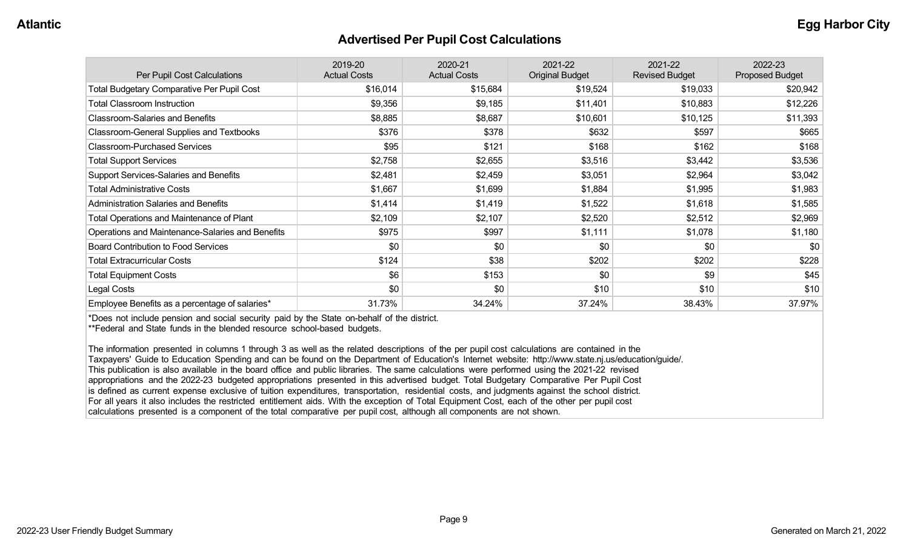#### **Advertised Per Pupil Cost Calculations**

| Per Pupil Cost Calculations                       | 2019-20<br><b>Actual Costs</b> | 2020-21<br><b>Actual Costs</b> | 2021-22<br><b>Original Budget</b> | 2021-22<br><b>Revised Budget</b> | 2022-23<br><b>Proposed Budget</b> |
|---------------------------------------------------|--------------------------------|--------------------------------|-----------------------------------|----------------------------------|-----------------------------------|
| <b>Total Budgetary Comparative Per Pupil Cost</b> | \$16,014                       | \$15,684                       | \$19,524                          | \$19,033                         | \$20,942                          |
| <b>Total Classroom Instruction</b>                | \$9,356                        | \$9,185                        | \$11,401                          | \$10,883                         | \$12,226                          |
| <b>Classroom-Salaries and Benefits</b>            | \$8,885                        | \$8,687                        | \$10,601                          | \$10,125                         | \$11,393                          |
| Classroom-General Supplies and Textbooks          | \$376                          | \$378                          | \$632                             | \$597                            | \$665                             |
| <b>Classroom-Purchased Services</b>               | \$95                           | \$121                          | \$168                             | \$162                            | \$168                             |
| <b>Total Support Services</b>                     | \$2,758                        | \$2,655                        | \$3,516                           | \$3,442                          | \$3,536                           |
| Support Services-Salaries and Benefits            | \$2,481                        | \$2,459                        | \$3,051                           | \$2,964                          | \$3,042                           |
| <b>Total Administrative Costs</b>                 | \$1,667                        | \$1,699                        | \$1,884                           | \$1,995                          | \$1,983                           |
| <b>Administration Salaries and Benefits</b>       | \$1,414                        | \$1,419                        | \$1,522                           | \$1,618                          | \$1,585                           |
| <b>Total Operations and Maintenance of Plant</b>  | \$2,109                        | \$2,107                        | \$2,520                           | \$2,512                          | \$2,969                           |
| Operations and Maintenance-Salaries and Benefits  | \$975                          | \$997                          | \$1,111                           | \$1,078                          | \$1,180                           |
| <b>Board Contribution to Food Services</b>        | \$0                            | \$0                            | \$0                               | \$0                              | \$0                               |
| <b>Total Extracurricular Costs</b>                | \$124                          | \$38                           | \$202                             | \$202                            | \$228                             |
| <b>Total Equipment Costs</b>                      | \$6                            | \$153                          | \$0                               | \$9                              | \$45                              |
| Legal Costs                                       | \$0                            | \$0                            | \$10                              | \$10                             | \$10                              |
| Employee Benefits as a percentage of salaries*    | 31.73%                         | 34.24%                         | 37.24%                            | 38.43%                           | 37.97%                            |

\*Does not include pension and social security paid by the State on-behalf of the district.

\*\*Federal and State funds in the blended resource school-based budgets.

The information presented in columns 1 through 3 as well as the related descriptions of the per pupil cost calculations are contained in the Taxpayers' Guide to Education Spending and can be found on the Department of Education's Internet website: http://www.state.nj.us/education/guide/. This publication is also available in the board office and public libraries. The same calculations were performed using the 2021-22 revised appropriations and the 2022-23 budgeted appropriations presented in this advertised budget. Total Budgetary Comparative Per Pupil Cost is defined as current expense exclusive of tuition expenditures, transportation, residential costs, and judgments against the school district. For all years it also includes the restricted entitlement aids. With the exception of Total Equipment Cost, each of the other per pupil cost calculations presented is a component of the total comparative per pupil cost, although all components are not shown.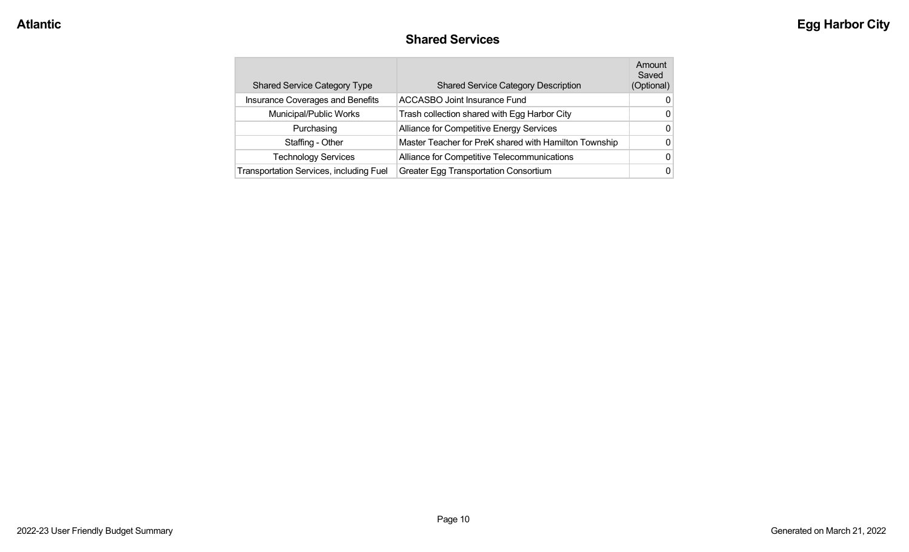#### **Shared Services**

| <b>Shared Service Category Type</b>     | <b>Shared Service Category Description</b>            | Amount<br>Saved<br>(Optional) |
|-----------------------------------------|-------------------------------------------------------|-------------------------------|
| Insurance Coverages and Benefits        | <b>ACCASBO Joint Insurance Fund</b>                   | 0                             |
| Municipal/Public Works                  | Trash collection shared with Egg Harbor City          | 0                             |
| Purchasing                              | Alliance for Competitive Energy Services              | 0                             |
| Staffing - Other                        | Master Teacher for PreK shared with Hamilton Township | 0                             |
| <b>Technology Services</b>              | Alliance for Competitive Telecommunications           | 0                             |
| Transportation Services, including Fuel | <b>Greater Egg Transportation Consortium</b>          | 0                             |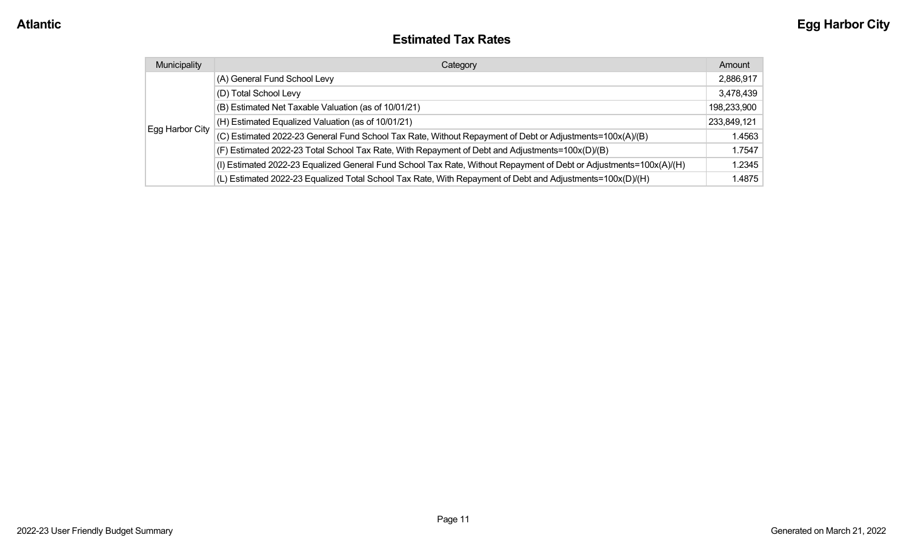#### **Estimated Tax Rates**

| Municipality    | Category                                                                                                           | Amount      |
|-----------------|--------------------------------------------------------------------------------------------------------------------|-------------|
|                 | (A) General Fund School Levy                                                                                       | 2,886,917   |
|                 | (D) Total School Levy                                                                                              | 3,478,439   |
|                 | (B) Estimated Net Taxable Valuation (as of 10/01/21)                                                               | 198,233,900 |
|                 | (H) Estimated Equalized Valuation (as of 10/01/21)                                                                 | 233,849,121 |
| Egg Harbor City | (C) Estimated 2022-23 General Fund School Tax Rate, Without Repayment of Debt or Adjustments=100x(A)/(B)           | 1.4563      |
|                 | (F) Estimated 2022-23 Total School Tax Rate, With Repayment of Debt and Adjustments=100x(D)/(B)                    | 1.7547      |
|                 | (I) Estimated 2022-23 Equalized General Fund School Tax Rate, Without Repayment of Debt or Adjustments=100x(A)/(H) | 1.2345      |
|                 | (L) Estimated 2022-23 Equalized Total School Tax Rate, With Repayment of Debt and Adjustments=100x(D)/(H)          | 1.4875      |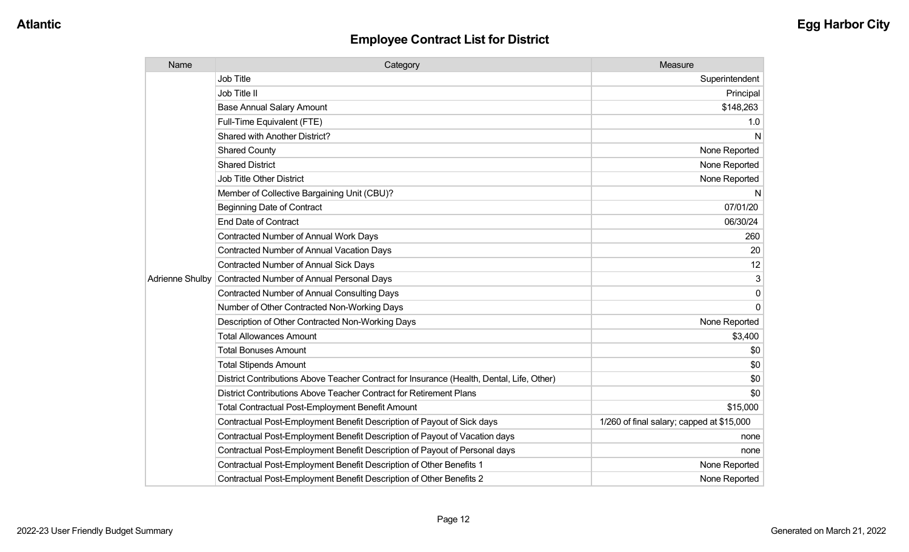| Name            | Category                                                                                  | Measure                                   |
|-----------------|-------------------------------------------------------------------------------------------|-------------------------------------------|
|                 | <b>Job Title</b>                                                                          | Superintendent                            |
|                 | Job Title II                                                                              | Principal                                 |
|                 | <b>Base Annual Salary Amount</b>                                                          | \$148,263                                 |
|                 | Full-Time Equivalent (FTE)                                                                | 1.0                                       |
|                 | Shared with Another District?                                                             | N                                         |
|                 | <b>Shared County</b>                                                                      | None Reported                             |
|                 | <b>Shared District</b>                                                                    | None Reported                             |
|                 | <b>Job Title Other District</b>                                                           | None Reported                             |
|                 | Member of Collective Bargaining Unit (CBU)?                                               | N                                         |
|                 | <b>Beginning Date of Contract</b>                                                         | 07/01/20                                  |
|                 | <b>End Date of Contract</b>                                                               | 06/30/24                                  |
|                 | <b>Contracted Number of Annual Work Days</b>                                              | 260                                       |
|                 | <b>Contracted Number of Annual Vacation Days</b>                                          | 20                                        |
|                 | Contracted Number of Annual Sick Days                                                     | 12                                        |
| Adrienne Shulby | Contracted Number of Annual Personal Days                                                 | 3                                         |
|                 | <b>Contracted Number of Annual Consulting Days</b>                                        | 0                                         |
|                 | Number of Other Contracted Non-Working Days                                               | $\Omega$                                  |
|                 | Description of Other Contracted Non-Working Days                                          | None Reported                             |
|                 | <b>Total Allowances Amount</b>                                                            | \$3,400                                   |
|                 | <b>Total Bonuses Amount</b>                                                               | \$0                                       |
|                 | <b>Total Stipends Amount</b>                                                              | \$0                                       |
|                 | District Contributions Above Teacher Contract for Insurance (Health, Dental, Life, Other) | \$0                                       |
|                 | District Contributions Above Teacher Contract for Retirement Plans                        | \$0                                       |
|                 | Total Contractual Post-Employment Benefit Amount                                          | \$15,000                                  |
|                 | Contractual Post-Employment Benefit Description of Payout of Sick days                    | 1/260 of final salary; capped at \$15,000 |
|                 | Contractual Post-Employment Benefit Description of Payout of Vacation days                | none                                      |
|                 | Contractual Post-Employment Benefit Description of Payout of Personal days                | none                                      |
|                 | Contractual Post-Employment Benefit Description of Other Benefits 1                       | None Reported                             |
|                 | Contractual Post-Employment Benefit Description of Other Benefits 2                       | None Reported                             |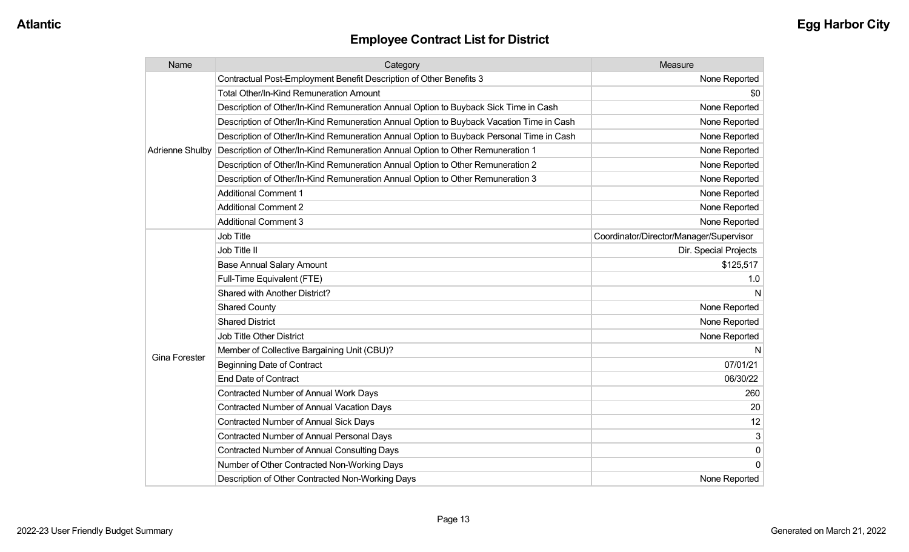| Name                   | Category                                                                                 | Measure                                 |
|------------------------|------------------------------------------------------------------------------------------|-----------------------------------------|
|                        | Contractual Post-Employment Benefit Description of Other Benefits 3                      | None Reported                           |
|                        | <b>Total Other/In-Kind Remuneration Amount</b>                                           | \$0                                     |
|                        | Description of Other/In-Kind Remuneration Annual Option to Buyback Sick Time in Cash     | None Reported                           |
|                        | Description of Other/In-Kind Remuneration Annual Option to Buyback Vacation Time in Cash | None Reported                           |
|                        | Description of Other/In-Kind Remuneration Annual Option to Buyback Personal Time in Cash | None Reported                           |
| <b>Adrienne Shulby</b> | Description of Other/In-Kind Remuneration Annual Option to Other Remuneration 1          | None Reported                           |
|                        | Description of Other/In-Kind Remuneration Annual Option to Other Remuneration 2          | None Reported                           |
|                        | Description of Other/In-Kind Remuneration Annual Option to Other Remuneration 3          | None Reported                           |
|                        | <b>Additional Comment 1</b>                                                              | None Reported                           |
|                        | <b>Additional Comment 2</b>                                                              | None Reported                           |
|                        | <b>Additional Comment 3</b>                                                              | None Reported                           |
|                        | <b>Job Title</b>                                                                         | Coordinator/Director/Manager/Supervisor |
|                        | Job Title II                                                                             | Dir. Special Projects                   |
|                        | <b>Base Annual Salary Amount</b>                                                         | \$125,517                               |
|                        | Full-Time Equivalent (FTE)                                                               | 1.0                                     |
|                        | <b>Shared with Another District?</b>                                                     | N                                       |
|                        | <b>Shared County</b>                                                                     | None Reported                           |
|                        | <b>Shared District</b>                                                                   | None Reported                           |
|                        | <b>Job Title Other District</b>                                                          | None Reported                           |
|                        | Member of Collective Bargaining Unit (CBU)?                                              | N                                       |
| <b>Gina Forester</b>   | <b>Beginning Date of Contract</b>                                                        | 07/01/21                                |
|                        | <b>End Date of Contract</b>                                                              | 06/30/22                                |
|                        | <b>Contracted Number of Annual Work Days</b>                                             | 260                                     |
|                        | <b>Contracted Number of Annual Vacation Days</b>                                         | 20                                      |
|                        | <b>Contracted Number of Annual Sick Days</b>                                             | 12                                      |
|                        | Contracted Number of Annual Personal Days                                                | 3                                       |
|                        | <b>Contracted Number of Annual Consulting Days</b>                                       | $\pmb{0}$                               |
|                        | Number of Other Contracted Non-Working Days                                              | 0                                       |
|                        | Description of Other Contracted Non-Working Days                                         | None Reported                           |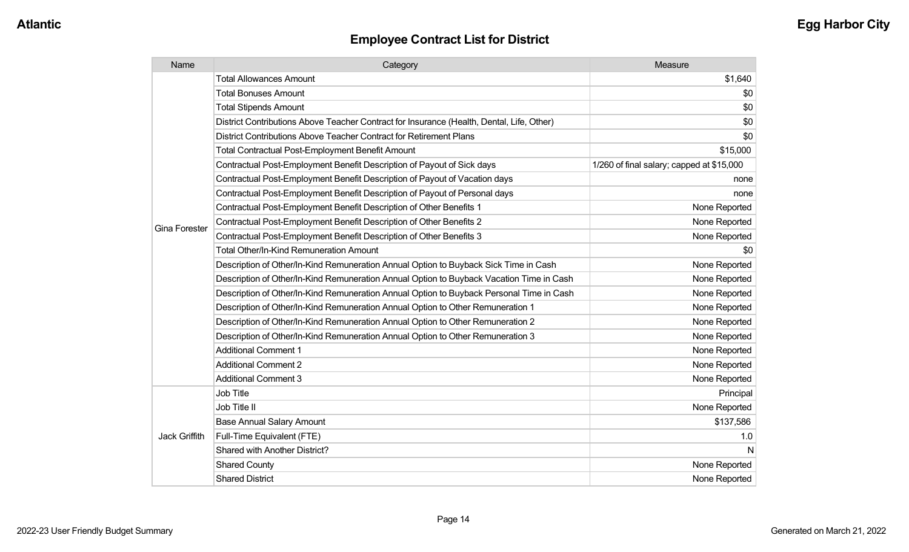| Name                 | Category                                                                                  | Measure                                   |
|----------------------|-------------------------------------------------------------------------------------------|-------------------------------------------|
|                      | <b>Total Allowances Amount</b>                                                            | \$1,640                                   |
|                      | <b>Total Bonuses Amount</b>                                                               | \$0                                       |
|                      | <b>Total Stipends Amount</b>                                                              | \$0                                       |
|                      | District Contributions Above Teacher Contract for Insurance (Health, Dental, Life, Other) | \$0                                       |
|                      | District Contributions Above Teacher Contract for Retirement Plans                        | \$0                                       |
|                      | <b>Total Contractual Post-Employment Benefit Amount</b>                                   | \$15,000                                  |
|                      | Contractual Post-Employment Benefit Description of Payout of Sick days                    | 1/260 of final salary; capped at \$15,000 |
|                      | Contractual Post-Employment Benefit Description of Payout of Vacation days                | none                                      |
|                      | Contractual Post-Employment Benefit Description of Payout of Personal days                | none                                      |
|                      | Contractual Post-Employment Benefit Description of Other Benefits 1                       | None Reported                             |
| <b>Gina Forester</b> | Contractual Post-Employment Benefit Description of Other Benefits 2                       | None Reported                             |
|                      | Contractual Post-Employment Benefit Description of Other Benefits 3                       | None Reported                             |
|                      | <b>Total Other/In-Kind Remuneration Amount</b>                                            | \$0                                       |
|                      | Description of Other/In-Kind Remuneration Annual Option to Buyback Sick Time in Cash      | None Reported                             |
|                      | Description of Other/In-Kind Remuneration Annual Option to Buyback Vacation Time in Cash  | None Reported                             |
|                      | Description of Other/In-Kind Remuneration Annual Option to Buyback Personal Time in Cash  | None Reported                             |
|                      | Description of Other/In-Kind Remuneration Annual Option to Other Remuneration 1           | None Reported                             |
|                      | Description of Other/In-Kind Remuneration Annual Option to Other Remuneration 2           | None Reported                             |
|                      | Description of Other/In-Kind Remuneration Annual Option to Other Remuneration 3           | None Reported                             |
|                      | <b>Additional Comment 1</b>                                                               | None Reported                             |
|                      | <b>Additional Comment 2</b>                                                               | None Reported                             |
|                      | <b>Additional Comment 3</b>                                                               | None Reported                             |
|                      | Job Title                                                                                 | Principal                                 |
| Jack Griffith        | Job Title II                                                                              | None Reported                             |
|                      | <b>Base Annual Salary Amount</b>                                                          | \$137,586                                 |
|                      | Full-Time Equivalent (FTE)                                                                | 1.0                                       |
|                      | Shared with Another District?                                                             | N                                         |
|                      | <b>Shared County</b>                                                                      | None Reported                             |
|                      | <b>Shared District</b>                                                                    | None Reported                             |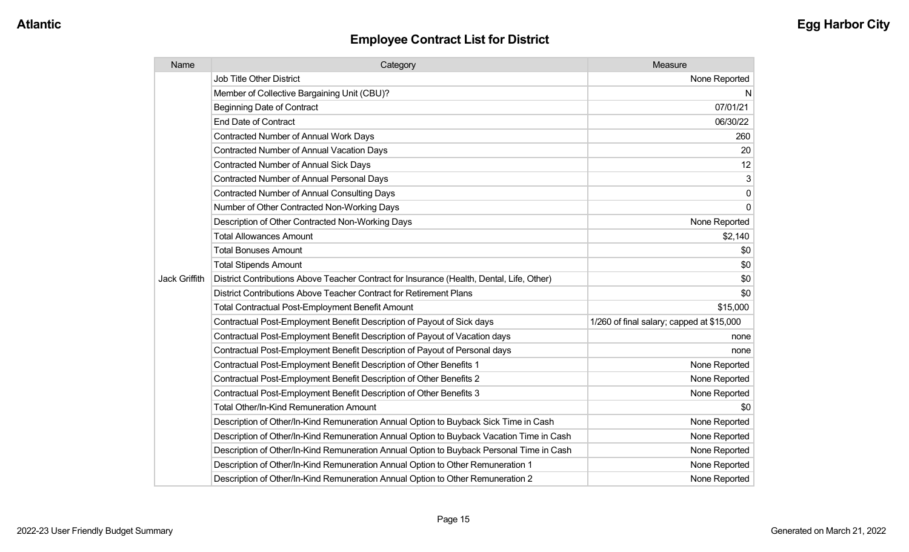| Name          | Category                                                                                  | Measure                                   |
|---------------|-------------------------------------------------------------------------------------------|-------------------------------------------|
|               | <b>Job Title Other District</b>                                                           | None Reported                             |
|               | Member of Collective Bargaining Unit (CBU)?                                               | N.                                        |
|               | <b>Beginning Date of Contract</b>                                                         | 07/01/21                                  |
|               | <b>End Date of Contract</b>                                                               | 06/30/22                                  |
|               | Contracted Number of Annual Work Days                                                     | 260                                       |
|               | <b>Contracted Number of Annual Vacation Days</b>                                          | 20                                        |
|               | <b>Contracted Number of Annual Sick Days</b>                                              | 12                                        |
|               | <b>Contracted Number of Annual Personal Days</b>                                          | $\mathbf{3}$                              |
|               | Contracted Number of Annual Consulting Days                                               | $\overline{0}$                            |
|               | Number of Other Contracted Non-Working Days                                               | $\overline{0}$                            |
|               | Description of Other Contracted Non-Working Days                                          | None Reported                             |
|               | <b>Total Allowances Amount</b>                                                            | \$2,140                                   |
|               | <b>Total Bonuses Amount</b>                                                               | \$0                                       |
|               | <b>Total Stipends Amount</b>                                                              | \$0                                       |
| Jack Griffith | District Contributions Above Teacher Contract for Insurance (Health, Dental, Life, Other) | \$0                                       |
|               | District Contributions Above Teacher Contract for Retirement Plans                        | \$0                                       |
|               | <b>Total Contractual Post-Employment Benefit Amount</b>                                   | \$15,000                                  |
|               | Contractual Post-Employment Benefit Description of Payout of Sick days                    | 1/260 of final salary; capped at \$15,000 |
|               | Contractual Post-Employment Benefit Description of Payout of Vacation days                | none                                      |
|               | Contractual Post-Employment Benefit Description of Payout of Personal days                | none                                      |
|               | Contractual Post-Employment Benefit Description of Other Benefits 1                       | None Reported                             |
|               | Contractual Post-Employment Benefit Description of Other Benefits 2                       | None Reported                             |
|               | Contractual Post-Employment Benefit Description of Other Benefits 3                       | None Reported                             |
|               | Total Other/In-Kind Remuneration Amount                                                   | \$0                                       |
|               | Description of Other/In-Kind Remuneration Annual Option to Buyback Sick Time in Cash      | None Reported                             |
|               | Description of Other/In-Kind Remuneration Annual Option to Buyback Vacation Time in Cash  | None Reported                             |
|               | Description of Other/In-Kind Remuneration Annual Option to Buyback Personal Time in Cash  | None Reported                             |
|               | Description of Other/In-Kind Remuneration Annual Option to Other Remuneration 1           | None Reported                             |
|               | Description of Other/In-Kind Remuneration Annual Option to Other Remuneration 2           | None Reported                             |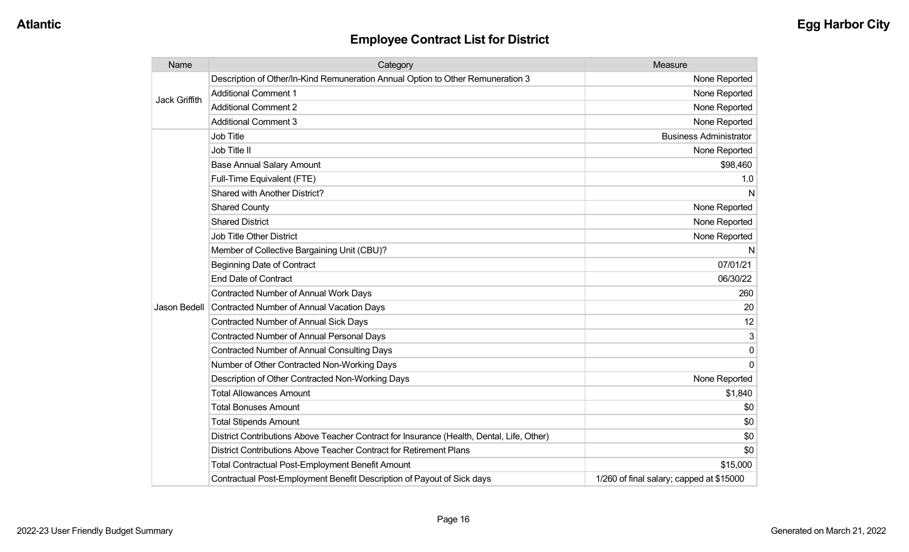| Name                 | Category                                                                                  | Measure                                  |
|----------------------|-------------------------------------------------------------------------------------------|------------------------------------------|
| <b>Jack Griffith</b> | Description of Other/In-Kind Remuneration Annual Option to Other Remuneration 3           | None Reported                            |
|                      | <b>Additional Comment 1</b>                                                               | None Reported                            |
|                      | <b>Additional Comment 2</b>                                                               | None Reported                            |
|                      | <b>Additional Comment 3</b>                                                               | None Reported                            |
|                      | Job Title                                                                                 | <b>Business Administrator</b>            |
|                      | Job Title II                                                                              | None Reported                            |
|                      | <b>Base Annual Salary Amount</b>                                                          | \$98,460                                 |
|                      | Full-Time Equivalent (FTE)                                                                | 1.0                                      |
|                      | Shared with Another District?                                                             | N                                        |
|                      | <b>Shared County</b>                                                                      | None Reported                            |
|                      | <b>Shared District</b>                                                                    | None Reported                            |
|                      | <b>Job Title Other District</b>                                                           | None Reported                            |
|                      | Member of Collective Bargaining Unit (CBU)?                                               | N                                        |
|                      | <b>Beginning Date of Contract</b>                                                         | 07/01/21                                 |
|                      | <b>End Date of Contract</b>                                                               | 06/30/22                                 |
|                      | Contracted Number of Annual Work Days                                                     | 260                                      |
| Jason Bedell         | <b>Contracted Number of Annual Vacation Days</b>                                          | 20                                       |
|                      | <b>Contracted Number of Annual Sick Days</b>                                              | 12                                       |
|                      | <b>Contracted Number of Annual Personal Days</b>                                          | 3                                        |
|                      | <b>Contracted Number of Annual Consulting Days</b>                                        | $\Omega$                                 |
|                      | Number of Other Contracted Non-Working Days                                               | $\Omega$                                 |
|                      | Description of Other Contracted Non-Working Days                                          | None Reported                            |
|                      | <b>Total Allowances Amount</b>                                                            | \$1,840                                  |
|                      | <b>Total Bonuses Amount</b>                                                               | \$0                                      |
|                      | <b>Total Stipends Amount</b>                                                              | \$0                                      |
|                      | District Contributions Above Teacher Contract for Insurance (Health, Dental, Life, Other) | \$0                                      |
|                      | District Contributions Above Teacher Contract for Retirement Plans                        | \$0                                      |
|                      | <b>Total Contractual Post-Employment Benefit Amount</b>                                   | \$15,000                                 |
|                      | Contractual Post-Employment Benefit Description of Payout of Sick days                    | 1/260 of final salary; capped at \$15000 |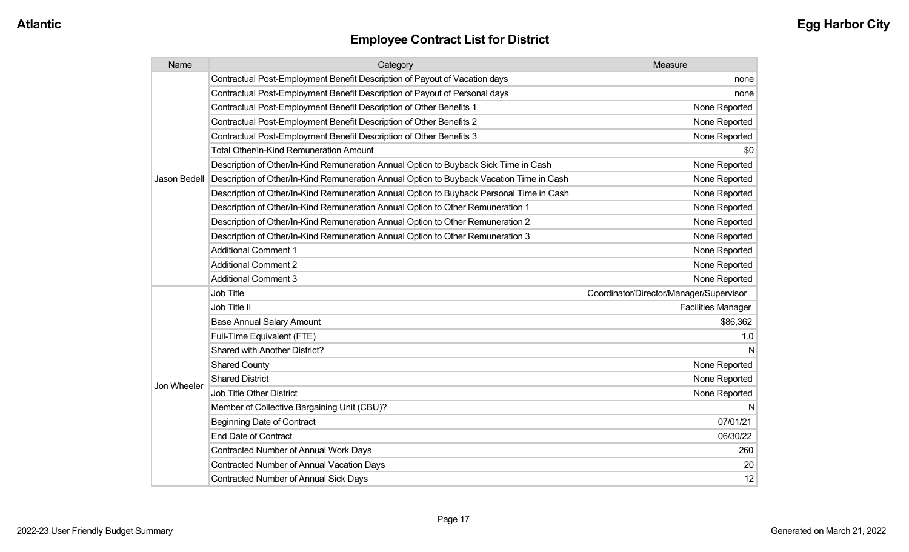| Name         | Category                                                                                 | Measure                                 |
|--------------|------------------------------------------------------------------------------------------|-----------------------------------------|
|              | Contractual Post-Employment Benefit Description of Payout of Vacation days               | none                                    |
|              | Contractual Post-Employment Benefit Description of Payout of Personal days               | none                                    |
|              | Contractual Post-Employment Benefit Description of Other Benefits 1                      | None Reported                           |
|              | Contractual Post-Employment Benefit Description of Other Benefits 2                      | None Reported                           |
|              | Contractual Post-Employment Benefit Description of Other Benefits 3                      | None Reported                           |
|              | <b>Total Other/In-Kind Remuneration Amount</b>                                           | \$0                                     |
|              | Description of Other/In-Kind Remuneration Annual Option to Buyback Sick Time in Cash     | None Reported                           |
| Jason Bedell | Description of Other/In-Kind Remuneration Annual Option to Buyback Vacation Time in Cash | None Reported                           |
|              | Description of Other/In-Kind Remuneration Annual Option to Buyback Personal Time in Cash | None Reported                           |
|              | Description of Other/In-Kind Remuneration Annual Option to Other Remuneration 1          | None Reported                           |
|              | Description of Other/In-Kind Remuneration Annual Option to Other Remuneration 2          | None Reported                           |
|              | Description of Other/In-Kind Remuneration Annual Option to Other Remuneration 3          | None Reported                           |
|              | <b>Additional Comment 1</b>                                                              | None Reported                           |
|              | <b>Additional Comment 2</b>                                                              | None Reported                           |
|              | <b>Additional Comment 3</b>                                                              | None Reported                           |
|              | Job Title                                                                                | Coordinator/Director/Manager/Supervisor |
|              | Job Title II                                                                             | <b>Facilities Manager</b>               |
|              | <b>Base Annual Salary Amount</b>                                                         | \$86,362                                |
|              | Full-Time Equivalent (FTE)                                                               | 1.0                                     |
|              | <b>Shared with Another District?</b>                                                     | N                                       |
|              | <b>Shared County</b>                                                                     | None Reported                           |
| Jon Wheeler  | <b>Shared District</b>                                                                   | None Reported                           |
|              | <b>Job Title Other District</b>                                                          | None Reported                           |
|              | Member of Collective Bargaining Unit (CBU)?                                              | N                                       |
|              | <b>Beginning Date of Contract</b>                                                        | 07/01/21                                |
|              | <b>End Date of Contract</b>                                                              | 06/30/22                                |
|              | Contracted Number of Annual Work Days                                                    | 260                                     |
|              | <b>Contracted Number of Annual Vacation Days</b>                                         | 20                                      |
|              | <b>Contracted Number of Annual Sick Days</b>                                             | 12                                      |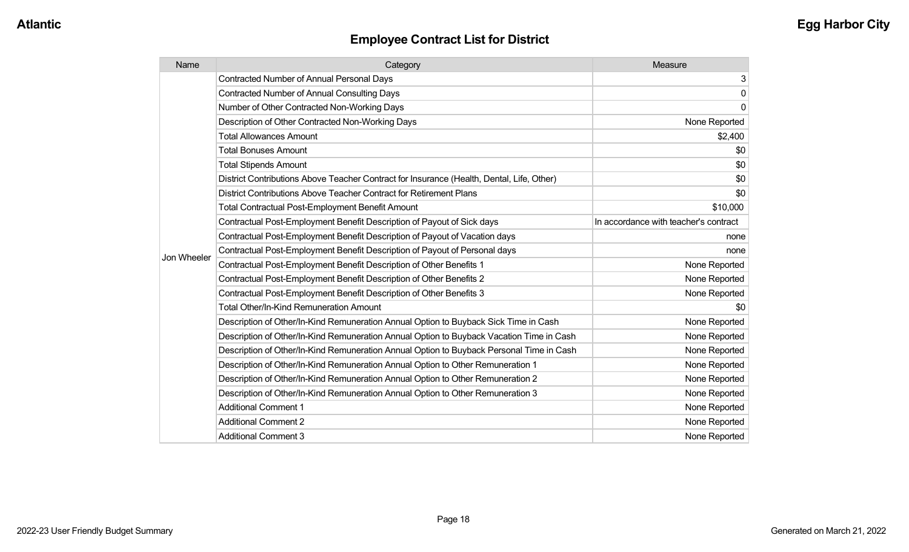| Name        | Category                                                                                  | Measure                               |
|-------------|-------------------------------------------------------------------------------------------|---------------------------------------|
|             | <b>Contracted Number of Annual Personal Days</b>                                          | 3                                     |
|             | <b>Contracted Number of Annual Consulting Days</b>                                        | $\mathbf 0$                           |
|             | Number of Other Contracted Non-Working Days                                               | $\mathbf 0$                           |
|             | Description of Other Contracted Non-Working Days                                          | None Reported                         |
|             | <b>Total Allowances Amount</b>                                                            | \$2,400                               |
|             | <b>Total Bonuses Amount</b>                                                               | \$0                                   |
|             | <b>Total Stipends Amount</b>                                                              | \$0                                   |
|             | District Contributions Above Teacher Contract for Insurance (Health, Dental, Life, Other) | \$0                                   |
|             | District Contributions Above Teacher Contract for Retirement Plans                        | \$0                                   |
|             | <b>Total Contractual Post-Employment Benefit Amount</b>                                   | \$10,000                              |
|             | Contractual Post-Employment Benefit Description of Payout of Sick days                    | In accordance with teacher's contract |
|             | Contractual Post-Employment Benefit Description of Payout of Vacation days                | none                                  |
| Jon Wheeler | Contractual Post-Employment Benefit Description of Payout of Personal days                | none                                  |
|             | Contractual Post-Employment Benefit Description of Other Benefits 1                       | None Reported                         |
|             | Contractual Post-Employment Benefit Description of Other Benefits 2                       | None Reported                         |
|             | Contractual Post-Employment Benefit Description of Other Benefits 3                       | None Reported                         |
|             | <b>Total Other/In-Kind Remuneration Amount</b>                                            | \$0                                   |
|             | Description of Other/In-Kind Remuneration Annual Option to Buyback Sick Time in Cash      | None Reported                         |
|             | Description of Other/In-Kind Remuneration Annual Option to Buyback Vacation Time in Cash  | None Reported                         |
|             | Description of Other/In-Kind Remuneration Annual Option to Buyback Personal Time in Cash  | None Reported                         |
|             | Description of Other/In-Kind Remuneration Annual Option to Other Remuneration 1           | None Reported                         |
|             | Description of Other/In-Kind Remuneration Annual Option to Other Remuneration 2           | None Reported                         |
|             | Description of Other/In-Kind Remuneration Annual Option to Other Remuneration 3           | None Reported                         |
|             | <b>Additional Comment 1</b>                                                               | None Reported                         |
|             | <b>Additional Comment 2</b>                                                               | None Reported                         |
|             | <b>Additional Comment 3</b>                                                               | None Reported                         |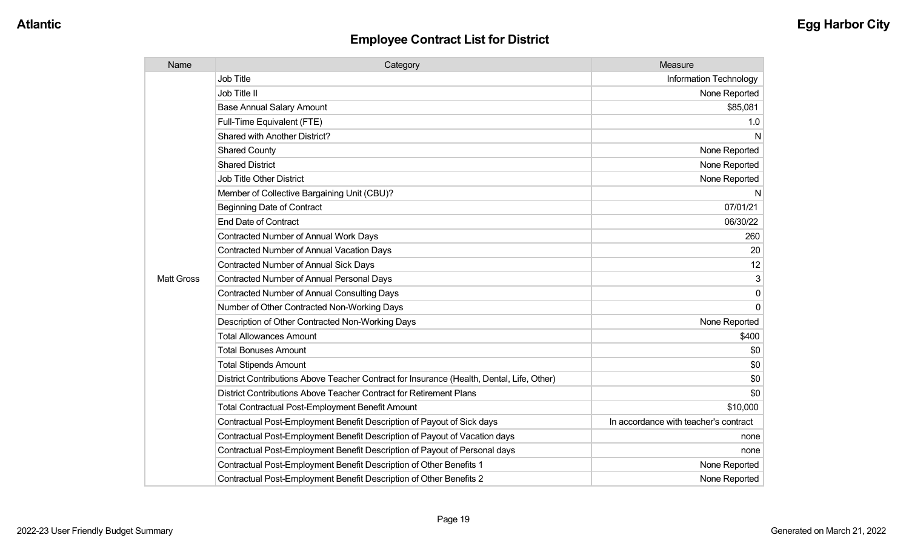| Name              | Category                                                                                  | Measure                               |
|-------------------|-------------------------------------------------------------------------------------------|---------------------------------------|
|                   | <b>Job Title</b>                                                                          | Information Technology                |
|                   | Job Title II                                                                              | None Reported                         |
|                   | <b>Base Annual Salary Amount</b>                                                          | \$85,081                              |
|                   | Full-Time Equivalent (FTE)                                                                | 1.0                                   |
|                   | Shared with Another District?                                                             | N                                     |
|                   | <b>Shared County</b>                                                                      | None Reported                         |
|                   | <b>Shared District</b>                                                                    | None Reported                         |
|                   | <b>Job Title Other District</b>                                                           | None Reported                         |
|                   | Member of Collective Bargaining Unit (CBU)?                                               | N                                     |
|                   | <b>Beginning Date of Contract</b>                                                         | 07/01/21                              |
|                   | <b>End Date of Contract</b>                                                               | 06/30/22                              |
|                   | <b>Contracted Number of Annual Work Days</b>                                              | 260                                   |
|                   | <b>Contracted Number of Annual Vacation Days</b>                                          | 20                                    |
|                   | <b>Contracted Number of Annual Sick Days</b>                                              | 12                                    |
| <b>Matt Gross</b> | <b>Contracted Number of Annual Personal Days</b>                                          | 3                                     |
|                   | <b>Contracted Number of Annual Consulting Days</b>                                        | $\Omega$                              |
|                   | Number of Other Contracted Non-Working Days                                               | $\Omega$                              |
|                   | Description of Other Contracted Non-Working Days                                          | None Reported                         |
|                   | <b>Total Allowances Amount</b>                                                            | \$400                                 |
|                   | <b>Total Bonuses Amount</b>                                                               | \$0                                   |
|                   | <b>Total Stipends Amount</b>                                                              | \$0                                   |
|                   | District Contributions Above Teacher Contract for Insurance (Health, Dental, Life, Other) | \$0                                   |
|                   | District Contributions Above Teacher Contract for Retirement Plans                        | \$0                                   |
|                   | <b>Total Contractual Post-Employment Benefit Amount</b>                                   | \$10,000                              |
|                   | Contractual Post-Employment Benefit Description of Payout of Sick days                    | In accordance with teacher's contract |
|                   | Contractual Post-Employment Benefit Description of Payout of Vacation days                | none                                  |
|                   | Contractual Post-Employment Benefit Description of Payout of Personal days                | none                                  |
|                   | Contractual Post-Employment Benefit Description of Other Benefits 1                       | None Reported                         |
|                   | Contractual Post-Employment Benefit Description of Other Benefits 2                       | None Reported                         |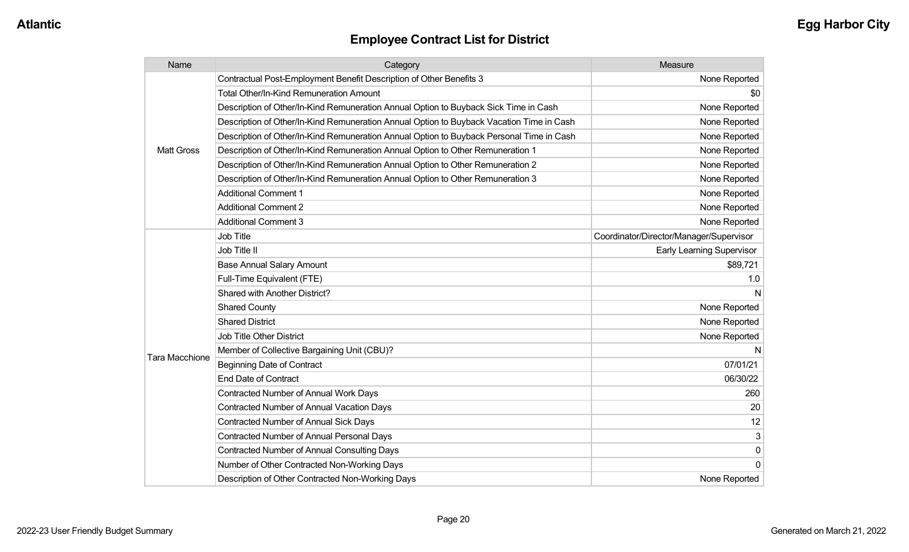| Name                  | Category                                                                                 | Measure                                 |
|-----------------------|------------------------------------------------------------------------------------------|-----------------------------------------|
|                       | Contractual Post-Employment Benefit Description of Other Benefits 3                      | None Reported                           |
|                       | <b>Total Other/In-Kind Remuneration Amount</b>                                           | \$0                                     |
|                       | Description of Other/In-Kind Remuneration Annual Option to Buyback Sick Time in Cash     | None Reported                           |
|                       | Description of Other/In-Kind Remuneration Annual Option to Buyback Vacation Time in Cash | None Reported                           |
|                       | Description of Other/In-Kind Remuneration Annual Option to Buyback Personal Time in Cash | None Reported                           |
| <b>Matt Gross</b>     | Description of Other/In-Kind Remuneration Annual Option to Other Remuneration 1          | None Reported                           |
|                       | Description of Other/In-Kind Remuneration Annual Option to Other Remuneration 2          | None Reported                           |
|                       | Description of Other/In-Kind Remuneration Annual Option to Other Remuneration 3          | None Reported                           |
|                       | <b>Additional Comment 1</b>                                                              | None Reported                           |
|                       | <b>Additional Comment 2</b>                                                              | None Reported                           |
|                       | <b>Additional Comment 3</b>                                                              | None Reported                           |
|                       | <b>Job Title</b>                                                                         | Coordinator/Director/Manager/Supervisor |
|                       | Job Title II                                                                             | <b>Early Learning Supervisor</b>        |
|                       | <b>Base Annual Salary Amount</b>                                                         | \$89,721                                |
|                       | Full-Time Equivalent (FTE)                                                               | 1.0                                     |
|                       | Shared with Another District?                                                            | N                                       |
|                       | <b>Shared County</b>                                                                     | None Reported                           |
|                       | <b>Shared District</b>                                                                   | None Reported                           |
|                       | <b>Job Title Other District</b>                                                          | None Reported                           |
|                       | Member of Collective Bargaining Unit (CBU)?                                              | N                                       |
| <b>Tara Macchione</b> | <b>Beginning Date of Contract</b>                                                        | 07/01/21                                |
|                       | <b>End Date of Contract</b>                                                              | 06/30/22                                |
|                       | <b>Contracted Number of Annual Work Days</b>                                             | 260                                     |
|                       | <b>Contracted Number of Annual Vacation Days</b>                                         | 20                                      |
|                       | <b>Contracted Number of Annual Sick Days</b>                                             | 12                                      |
|                       | <b>Contracted Number of Annual Personal Days</b>                                         | 3                                       |
|                       | <b>Contracted Number of Annual Consulting Days</b>                                       | $\pmb{0}$                               |
|                       | Number of Other Contracted Non-Working Days                                              | 0                                       |
|                       | Description of Other Contracted Non-Working Days                                         | None Reported                           |